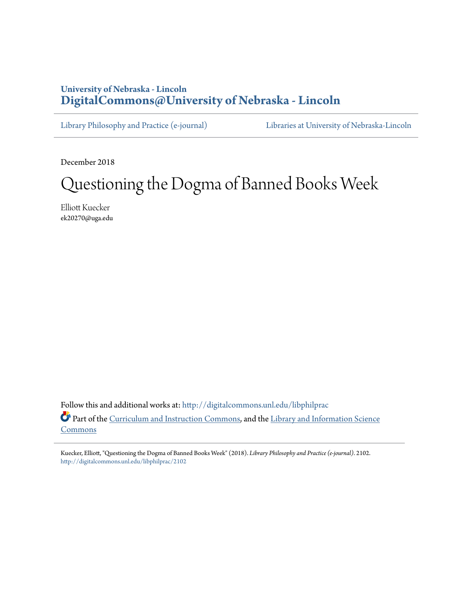## **University of Nebraska - Lincoln [DigitalCommons@University of Nebraska - Lincoln](http://digitalcommons.unl.edu?utm_source=digitalcommons.unl.edu%2Flibphilprac%2F2102&utm_medium=PDF&utm_campaign=PDFCoverPages)**

[Library Philosophy and Practice \(e-journal\)](http://digitalcommons.unl.edu/libphilprac?utm_source=digitalcommons.unl.edu%2Flibphilprac%2F2102&utm_medium=PDF&utm_campaign=PDFCoverPages) [Libraries at University of Nebraska-Lincoln](http://digitalcommons.unl.edu/libraries?utm_source=digitalcommons.unl.edu%2Flibphilprac%2F2102&utm_medium=PDF&utm_campaign=PDFCoverPages)

December 2018

# Questioning the Dogma of Banned Books Week

Elliott Kuecker ek20270@uga.edu

Follow this and additional works at: [http://digitalcommons.unl.edu/libphilprac](http://digitalcommons.unl.edu/libphilprac?utm_source=digitalcommons.unl.edu%2Flibphilprac%2F2102&utm_medium=PDF&utm_campaign=PDFCoverPages) Part of the [Curriculum and Instruction Commons](http://network.bepress.com/hgg/discipline/786?utm_source=digitalcommons.unl.edu%2Flibphilprac%2F2102&utm_medium=PDF&utm_campaign=PDFCoverPages), and the [Library and Information Science](http://network.bepress.com/hgg/discipline/1018?utm_source=digitalcommons.unl.edu%2Flibphilprac%2F2102&utm_medium=PDF&utm_campaign=PDFCoverPages) [Commons](http://network.bepress.com/hgg/discipline/1018?utm_source=digitalcommons.unl.edu%2Flibphilprac%2F2102&utm_medium=PDF&utm_campaign=PDFCoverPages)

Kuecker, Elliott, "Questioning the Dogma of Banned Books Week" (2018). *Library Philosophy and Practice (e-journal)*. 2102. [http://digitalcommons.unl.edu/libphilprac/2102](http://digitalcommons.unl.edu/libphilprac/2102?utm_source=digitalcommons.unl.edu%2Flibphilprac%2F2102&utm_medium=PDF&utm_campaign=PDFCoverPages)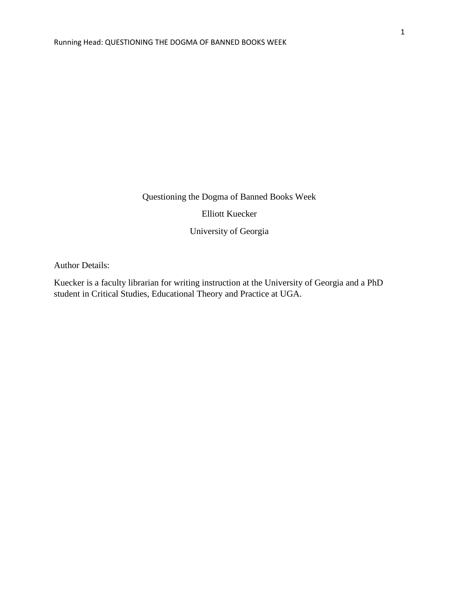Questioning the Dogma of Banned Books Week

Elliott Kuecker

University of Georgia

Author Details:

Kuecker is a faculty librarian for writing instruction at the University of Georgia and a PhD student in Critical Studies, Educational Theory and Practice at UGA.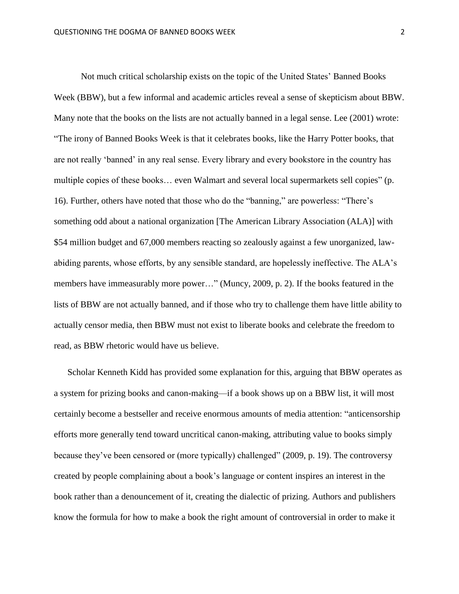Not much critical scholarship exists on the topic of the United States' Banned Books Week (BBW), but a few informal and academic articles reveal a sense of skepticism about BBW. Many note that the books on the lists are not actually banned in a legal sense. Lee (2001) wrote: "The irony of Banned Books Week is that it celebrates books, like the Harry Potter books, that are not really 'banned' in any real sense. Every library and every bookstore in the country has multiple copies of these books… even Walmart and several local supermarkets sell copies" (p. 16). Further, others have noted that those who do the "banning," are powerless: "There's something odd about a national organization [The American Library Association (ALA)] with \$54 million budget and 67,000 members reacting so zealously against a few unorganized, lawabiding parents, whose efforts, by any sensible standard, are hopelessly ineffective. The ALA's members have immeasurably more power…" (Muncy, 2009, p. 2). If the books featured in the lists of BBW are not actually banned, and if those who try to challenge them have little ability to actually censor media, then BBW must not exist to liberate books and celebrate the freedom to read, as BBW rhetoric would have us believe.

Scholar Kenneth Kidd has provided some explanation for this, arguing that BBW operates as a system for prizing books and canon-making—if a book shows up on a BBW list, it will most certainly become a bestseller and receive enormous amounts of media attention: "anticensorship efforts more generally tend toward uncritical canon-making, attributing value to books simply because they've been censored or (more typically) challenged" (2009, p. 19). The controversy created by people complaining about a book's language or content inspires an interest in the book rather than a denouncement of it, creating the dialectic of prizing. Authors and publishers know the formula for how to make a book the right amount of controversial in order to make it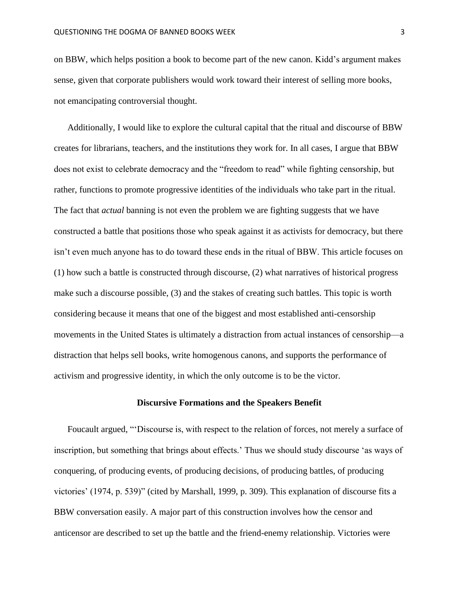on BBW, which helps position a book to become part of the new canon. Kidd's argument makes sense, given that corporate publishers would work toward their interest of selling more books, not emancipating controversial thought.

Additionally, I would like to explore the cultural capital that the ritual and discourse of BBW creates for librarians, teachers, and the institutions they work for. In all cases, I argue that BBW does not exist to celebrate democracy and the "freedom to read" while fighting censorship, but rather, functions to promote progressive identities of the individuals who take part in the ritual. The fact that *actual* banning is not even the problem we are fighting suggests that we have constructed a battle that positions those who speak against it as activists for democracy, but there isn't even much anyone has to do toward these ends in the ritual of BBW. This article focuses on (1) how such a battle is constructed through discourse, (2) what narratives of historical progress make such a discourse possible, (3) and the stakes of creating such battles. This topic is worth considering because it means that one of the biggest and most established anti-censorship movements in the United States is ultimately a distraction from actual instances of censorship—a distraction that helps sell books, write homogenous canons, and supports the performance of activism and progressive identity, in which the only outcome is to be the victor.

### **Discursive Formations and the Speakers Benefit**

Foucault argued, "'Discourse is, with respect to the relation of forces, not merely a surface of inscription, but something that brings about effects.' Thus we should study discourse 'as ways of conquering, of producing events, of producing decisions, of producing battles, of producing victories' (1974, p. 539)" (cited by Marshall, 1999, p. 309). This explanation of discourse fits a BBW conversation easily. A major part of this construction involves how the censor and anticensor are described to set up the battle and the friend-enemy relationship. Victories were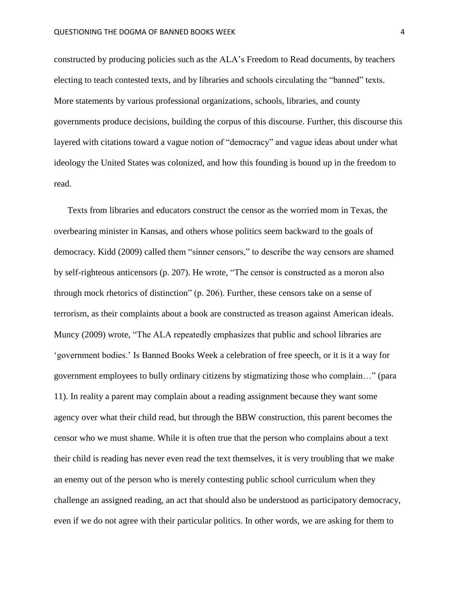constructed by producing policies such as the ALA's Freedom to Read documents, by teachers electing to teach contested texts, and by libraries and schools circulating the "banned" texts. More statements by various professional organizations, schools, libraries, and county governments produce decisions, building the corpus of this discourse. Further, this discourse this layered with citations toward a vague notion of "democracy" and vague ideas about under what ideology the United States was colonized, and how this founding is bound up in the freedom to read.

Texts from libraries and educators construct the censor as the worried mom in Texas, the overbearing minister in Kansas, and others whose politics seem backward to the goals of democracy. Kidd (2009) called them "sinner censors," to describe the way censors are shamed by self-righteous anticensors (p. 207). He wrote, "The censor is constructed as a moron also through mock rhetorics of distinction" (p. 206). Further, these censors take on a sense of terrorism, as their complaints about a book are constructed as treason against American ideals. Muncy (2009) wrote, "The ALA repeatedly emphasizes that public and school libraries are 'government bodies.' Is Banned Books Week a celebration of free speech, or it is it a way for government employees to bully ordinary citizens by stigmatizing those who complain…" (para 11). In reality a parent may complain about a reading assignment because they want some agency over what their child read, but through the BBW construction, this parent becomes the censor who we must shame. While it is often true that the person who complains about a text their child is reading has never even read the text themselves, it is very troubling that we make an enemy out of the person who is merely contesting public school curriculum when they challenge an assigned reading, an act that should also be understood as participatory democracy, even if we do not agree with their particular politics. In other words, we are asking for them to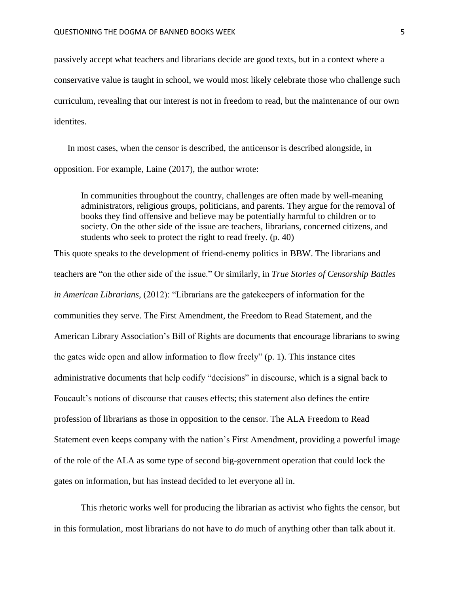passively accept what teachers and librarians decide are good texts, but in a context where a conservative value is taught in school, we would most likely celebrate those who challenge such curriculum, revealing that our interest is not in freedom to read, but the maintenance of our own identites.

In most cases, when the censor is described, the anticensor is described alongside, in opposition. For example, Laine (2017), the author wrote:

In communities throughout the country, challenges are often made by well-meaning administrators, religious groups, politicians, and parents. They argue for the removal of books they find offensive and believe may be potentially harmful to children or to society. On the other side of the issue are teachers, librarians, concerned citizens, and students who seek to protect the right to read freely. (p. 40)

This quote speaks to the development of friend-enemy politics in BBW. The librarians and teachers are "on the other side of the issue." Or similarly, in *True Stories of Censorship Battles in American Librarians,* (2012): "Librarians are the gatekeepers of information for the communities they serve. The First Amendment, the Freedom to Read Statement, and the American Library Association's Bill of Rights are documents that encourage librarians to swing the gates wide open and allow information to flow freely" (p. 1). This instance cites administrative documents that help codify "decisions" in discourse, which is a signal back to Foucault's notions of discourse that causes effects; this statement also defines the entire profession of librarians as those in opposition to the censor. The ALA Freedom to Read Statement even keeps company with the nation's First Amendment, providing a powerful image of the role of the ALA as some type of second big-government operation that could lock the gates on information, but has instead decided to let everyone all in.

This rhetoric works well for producing the librarian as activist who fights the censor, but in this formulation, most librarians do not have to *do* much of anything other than talk about it.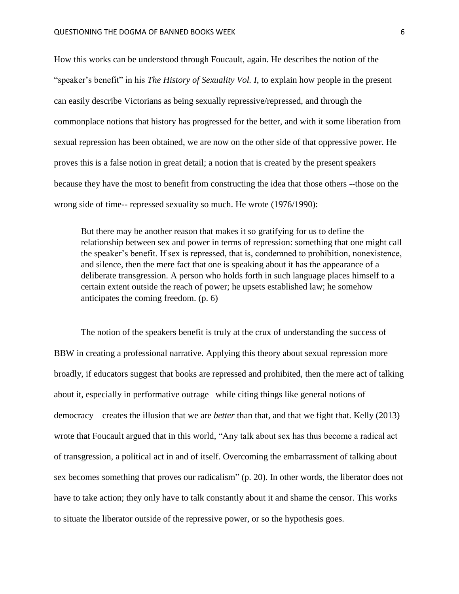How this works can be understood through Foucault, again. He describes the notion of the "speaker's benefit" in his *The History of Sexuality Vol. I*, to explain how people in the present can easily describe Victorians as being sexually repressive/repressed, and through the commonplace notions that history has progressed for the better, and with it some liberation from sexual repression has been obtained, we are now on the other side of that oppressive power. He proves this is a false notion in great detail; a notion that is created by the present speakers because they have the most to benefit from constructing the idea that those others --those on the wrong side of time-- repressed sexuality so much. He wrote (1976/1990):

But there may be another reason that makes it so gratifying for us to define the relationship between sex and power in terms of repression: something that one might call the speaker's benefit. If sex is repressed, that is, condemned to prohibition, nonexistence, and silence, then the mere fact that one is speaking about it has the appearance of a deliberate transgression. A person who holds forth in such language places himself to a certain extent outside the reach of power; he upsets established law; he somehow anticipates the coming freedom. (p. 6)

The notion of the speakers benefit is truly at the crux of understanding the success of BBW in creating a professional narrative. Applying this theory about sexual repression more broadly, if educators suggest that books are repressed and prohibited, then the mere act of talking about it, especially in performative outrage –while citing things like general notions of democracy—creates the illusion that we are *better* than that, and that we fight that. Kelly (2013) wrote that Foucault argued that in this world, "Any talk about sex has thus become a radical act of transgression, a political act in and of itself. Overcoming the embarrassment of talking about sex becomes something that proves our radicalism" (p. 20). In other words, the liberator does not have to take action; they only have to talk constantly about it and shame the censor. This works to situate the liberator outside of the repressive power, or so the hypothesis goes.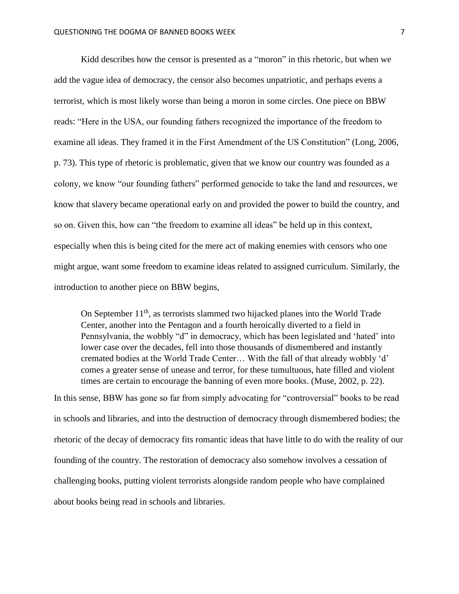Kidd describes how the censor is presented as a "moron" in this rhetoric, but when we add the vague idea of democracy, the censor also becomes unpatriotic, and perhaps evens a terrorist, which is most likely worse than being a moron in some circles. One piece on BBW reads: "Here in the USA, our founding fathers recognized the importance of the freedom to examine all ideas. They framed it in the First Amendment of the US Constitution" (Long, 2006, p. 73). This type of rhetoric is problematic, given that we know our country was founded as a colony, we know "our founding fathers" performed genocide to take the land and resources, we know that slavery became operational early on and provided the power to build the country, and so on. Given this, how can "the freedom to examine all ideas" be held up in this context, especially when this is being cited for the mere act of making enemies with censors who one might argue, want some freedom to examine ideas related to assigned curriculum. Similarly, the introduction to another piece on BBW begins,

On September  $11<sup>th</sup>$ , as terrorists slammed two hijacked planes into the World Trade Center, another into the Pentagon and a fourth heroically diverted to a field in Pennsylvania, the wobbly "d" in democracy, which has been legislated and 'hated' into lower case over the decades, fell into those thousands of dismembered and instantly cremated bodies at the World Trade Center… With the fall of that already wobbly 'd' comes a greater sense of unease and terror, for these tumultuous, hate filled and violent times are certain to encourage the banning of even more books. (Muse, 2002, p. 22).

In this sense, BBW has gone so far from simply advocating for "controversial" books to be read in schools and libraries, and into the destruction of democracy through dismembered bodies; the rhetoric of the decay of democracy fits romantic ideas that have little to do with the reality of our founding of the country. The restoration of democracy also somehow involves a cessation of challenging books, putting violent terrorists alongside random people who have complained about books being read in schools and libraries.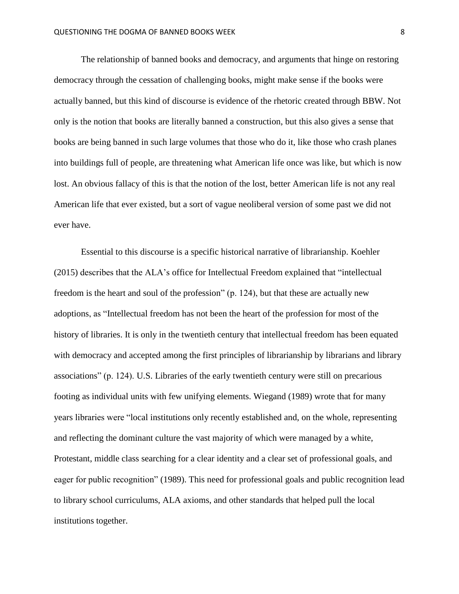The relationship of banned books and democracy, and arguments that hinge on restoring democracy through the cessation of challenging books, might make sense if the books were actually banned, but this kind of discourse is evidence of the rhetoric created through BBW. Not only is the notion that books are literally banned a construction, but this also gives a sense that books are being banned in such large volumes that those who do it, like those who crash planes into buildings full of people, are threatening what American life once was like, but which is now lost. An obvious fallacy of this is that the notion of the lost, better American life is not any real American life that ever existed, but a sort of vague neoliberal version of some past we did not ever have.

Essential to this discourse is a specific historical narrative of librarianship. Koehler (2015) describes that the ALA's office for Intellectual Freedom explained that "intellectual freedom is the heart and soul of the profession" (p. 124), but that these are actually new adoptions, as "Intellectual freedom has not been the heart of the profession for most of the history of libraries. It is only in the twentieth century that intellectual freedom has been equated with democracy and accepted among the first principles of librarianship by librarians and library associations" (p. 124). U.S. Libraries of the early twentieth century were still on precarious footing as individual units with few unifying elements. Wiegand (1989) wrote that for many years libraries were "local institutions only recently established and, on the whole, representing and reflecting the dominant culture the vast majority of which were managed by a white, Protestant, middle class searching for a clear identity and a clear set of professional goals, and eager for public recognition" (1989). This need for professional goals and public recognition lead to library school curriculums, ALA axioms, and other standards that helped pull the local institutions together.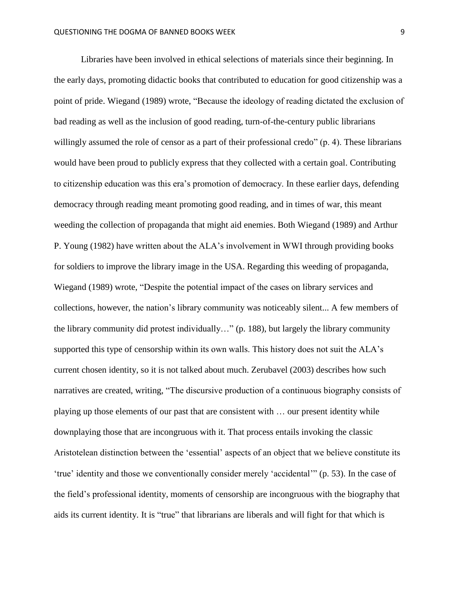Libraries have been involved in ethical selections of materials since their beginning. In the early days, promoting didactic books that contributed to education for good citizenship was a point of pride. Wiegand (1989) wrote, "Because the ideology of reading dictated the exclusion of bad reading as well as the inclusion of good reading, turn-of-the-century public librarians willingly assumed the role of censor as a part of their professional credo" (p. 4). These librarians would have been proud to publicly express that they collected with a certain goal. Contributing to citizenship education was this era's promotion of democracy. In these earlier days, defending democracy through reading meant promoting good reading, and in times of war, this meant weeding the collection of propaganda that might aid enemies. Both Wiegand (1989) and Arthur P. Young (1982) have written about the ALA's involvement in WWI through providing books for soldiers to improve the library image in the USA. Regarding this weeding of propaganda, Wiegand (1989) wrote, "Despite the potential impact of the cases on library services and collections, however, the nation's library community was noticeably silent... A few members of the library community did protest individually…" (p. 188), but largely the library community supported this type of censorship within its own walls. This history does not suit the ALA's current chosen identity, so it is not talked about much. Zerubavel (2003) describes how such narratives are created, writing, "The discursive production of a continuous biography consists of playing up those elements of our past that are consistent with … our present identity while downplaying those that are incongruous with it. That process entails invoking the classic Aristotelean distinction between the 'essential' aspects of an object that we believe constitute its 'true' identity and those we conventionally consider merely 'accidental'" (p. 53). In the case of the field's professional identity, moments of censorship are incongruous with the biography that aids its current identity. It is "true" that librarians are liberals and will fight for that which is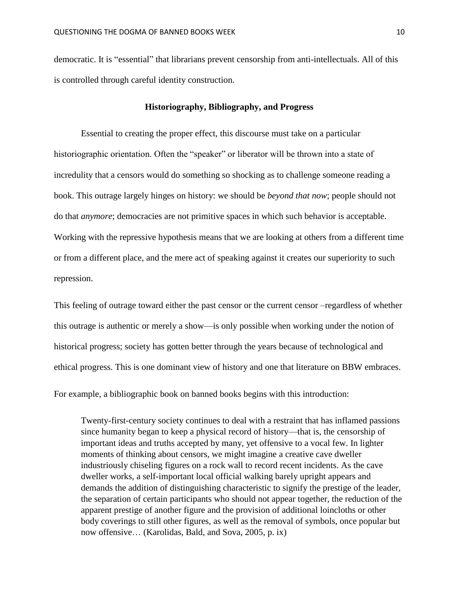democratic. It is "essential" that librarians prevent censorship from anti-intellectuals. All of this is controlled through careful identity construction.

### **Historiography, Bibliography, and Progress**

Essential to creating the proper effect, this discourse must take on a particular historiographic orientation. Often the "speaker" or liberator will be thrown into a state of incredulity that a censors would do something so shocking as to challenge someone reading a book. This outrage largely hinges on history: we should be *beyond that now*; people should not do that *anymore*; democracies are not primitive spaces in which such behavior is acceptable. Working with the repressive hypothesis means that we are looking at others from a different time or from a different place, and the mere act of speaking against it creates our superiority to such repression.

This feeling of outrage toward either the past censor or the current censor –regardless of whether this outrage is authentic or merely a show—is only possible when working under the notion of historical progress; society has gotten better through the years because of technological and ethical progress. This is one dominant view of history and one that literature on BBW embraces.

For example, a bibliographic book on banned books begins with this introduction:

Twenty-first-century society continues to deal with a restraint that has inflamed passions since humanity began to keep a physical record of history—that is, the censorship of important ideas and truths accepted by many, yet offensive to a vocal few. In lighter moments of thinking about censors, we might imagine a creative cave dweller industriously chiseling figures on a rock wall to record recent incidents. As the cave dweller works, a self-important local official walking barely upright appears and demands the addition of distinguishing characteristic to signify the prestige of the leader, the separation of certain participants who should not appear together, the reduction of the apparent prestige of another figure and the provision of additional loincloths or other body coverings to still other figures, as well as the removal of symbols, once popular but now offensive… (Karolidas, Bald, and Sova, 2005*,* p. ix)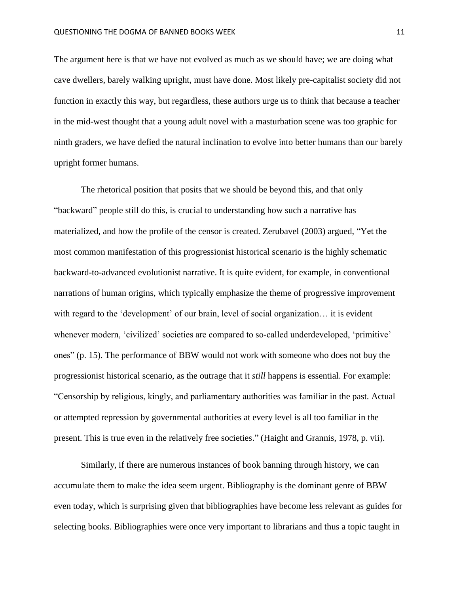The argument here is that we have not evolved as much as we should have; we are doing what cave dwellers, barely walking upright, must have done. Most likely pre-capitalist society did not function in exactly this way, but regardless, these authors urge us to think that because a teacher in the mid-west thought that a young adult novel with a masturbation scene was too graphic for ninth graders, we have defied the natural inclination to evolve into better humans than our barely upright former humans.

The rhetorical position that posits that we should be beyond this, and that only "backward" people still do this, is crucial to understanding how such a narrative has materialized, and how the profile of the censor is created. Zerubavel (2003) argued, "Yet the most common manifestation of this progressionist historical scenario is the highly schematic backward-to-advanced evolutionist narrative. It is quite evident, for example, in conventional narrations of human origins, which typically emphasize the theme of progressive improvement with regard to the 'development' of our brain, level of social organization… it is evident whenever modern, 'civilized' societies are compared to so-called underdeveloped, 'primitive' ones" (p. 15). The performance of BBW would not work with someone who does not buy the progressionist historical scenario, as the outrage that it *still* happens is essential. For example: "Censorship by religious, kingly, and parliamentary authorities was familiar in the past. Actual or attempted repression by governmental authorities at every level is all too familiar in the present. This is true even in the relatively free societies." (Haight and Grannis, 1978, p. vii).

Similarly, if there are numerous instances of book banning through history, we can accumulate them to make the idea seem urgent. Bibliography is the dominant genre of BBW even today, which is surprising given that bibliographies have become less relevant as guides for selecting books. Bibliographies were once very important to librarians and thus a topic taught in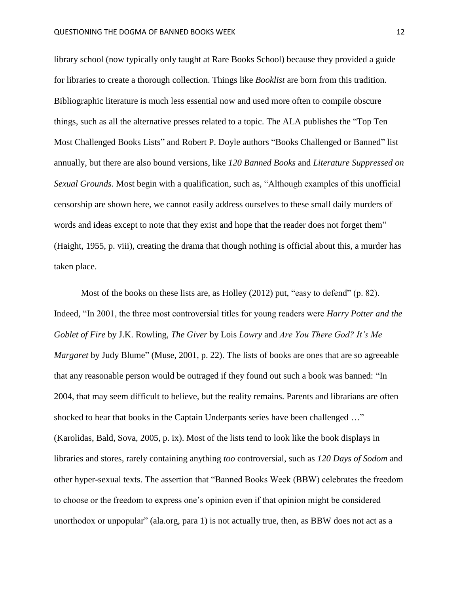library school (now typically only taught at Rare Books School) because they provided a guide for libraries to create a thorough collection. Things like *Booklist* are born from this tradition. Bibliographic literature is much less essential now and used more often to compile obscure things, such as all the alternative presses related to a topic. The ALA publishes the "Top Ten Most Challenged Books Lists" and Robert P. Doyle authors "Books Challenged or Banned" list annually, but there are also bound versions, like *120 Banned Books* and *Literature Suppressed on Sexual Grounds.* Most begin with a qualification, such as, "Although examples of this unofficial censorship are shown here, we cannot easily address ourselves to these small daily murders of words and ideas except to note that they exist and hope that the reader does not forget them" (Haight, 1955, p. viii), creating the drama that though nothing is official about this, a murder has taken place.

Most of the books on these lists are, as Holley (2012) put, "easy to defend" (p. 82). Indeed, "In 2001, the three most controversial titles for young readers were *Harry Potter and the Goblet of Fire* by J.K. Rowling, *The Giver* by Lois *Lowry* and *Are You There God? It's Me Margaret* by Judy Blume" (Muse, 2001, p. 22). The lists of books are ones that are so agreeable that any reasonable person would be outraged if they found out such a book was banned: "In 2004, that may seem difficult to believe, but the reality remains. Parents and librarians are often shocked to hear that books in the Captain Underpants series have been challenged …" (Karolidas, Bald, Sova*,* 2005, p. ix). Most of the lists tend to look like the book displays in libraries and stores, rarely containing anything *too* controversial, such as *120 Days of Sodom* and other hyper-sexual texts. The assertion that "Banned Books Week (BBW) celebrates the freedom to choose or the freedom to express one's opinion even if that opinion might be considered unorthodox or unpopular" (ala.org, para 1) is not actually true, then, as BBW does not act as a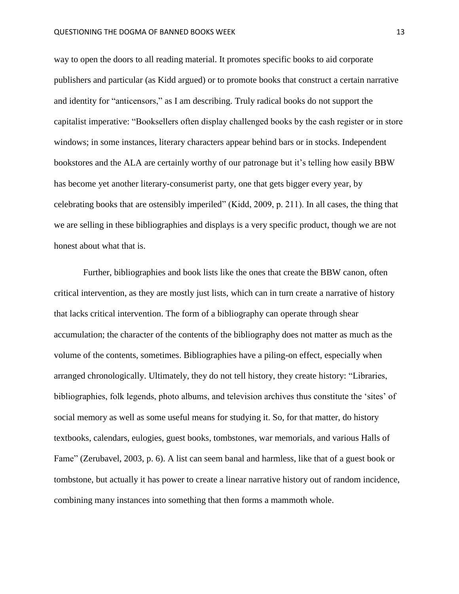way to open the doors to all reading material. It promotes specific books to aid corporate publishers and particular (as Kidd argued) or to promote books that construct a certain narrative and identity for "anticensors," as I am describing. Truly radical books do not support the capitalist imperative: "Booksellers often display challenged books by the cash register or in store windows; in some instances, literary characters appear behind bars or in stocks. Independent bookstores and the ALA are certainly worthy of our patronage but it's telling how easily BBW has become yet another literary-consumerist party, one that gets bigger every year, by celebrating books that are ostensibly imperiled" (Kidd, 2009, p. 211). In all cases, the thing that we are selling in these bibliographies and displays is a very specific product, though we are not honest about what that is.

Further, bibliographies and book lists like the ones that create the BBW canon, often critical intervention, as they are mostly just lists, which can in turn create a narrative of history that lacks critical intervention. The form of a bibliography can operate through shear accumulation; the character of the contents of the bibliography does not matter as much as the volume of the contents, sometimes. Bibliographies have a piling-on effect, especially when arranged chronologically. Ultimately, they do not tell history, they create history: "Libraries, bibliographies, folk legends, photo albums, and television archives thus constitute the 'sites' of social memory as well as some useful means for studying it. So, for that matter, do history textbooks, calendars, eulogies, guest books, tombstones, war memorials, and various Halls of Fame" (Zerubavel, 2003, p. 6). A list can seem banal and harmless, like that of a guest book or tombstone, but actually it has power to create a linear narrative history out of random incidence, combining many instances into something that then forms a mammoth whole.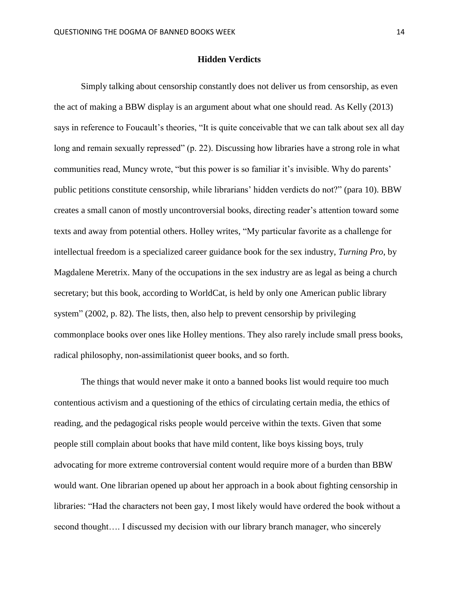### **Hidden Verdicts**

Simply talking about censorship constantly does not deliver us from censorship, as even the act of making a BBW display is an argument about what one should read. As Kelly (2013) says in reference to Foucault's theories, "It is quite conceivable that we can talk about sex all day long and remain sexually repressed" (p. 22). Discussing how libraries have a strong role in what communities read, Muncy wrote, "but this power is so familiar it's invisible. Why do parents' public petitions constitute censorship, while librarians' hidden verdicts do not?" (para 10). BBW creates a small canon of mostly uncontroversial books, directing reader's attention toward some texts and away from potential others. Holley writes, "My particular favorite as a challenge for intellectual freedom is a specialized career guidance book for the sex industry, *Turning Pro*, by Magdalene Meretrix. Many of the occupations in the sex industry are as legal as being a church secretary; but this book, according to WorldCat, is held by only one American public library system" (2002, p. 82). The lists, then, also help to prevent censorship by privileging commonplace books over ones like Holley mentions. They also rarely include small press books, radical philosophy, non-assimilationist queer books, and so forth.

The things that would never make it onto a banned books list would require too much contentious activism and a questioning of the ethics of circulating certain media, the ethics of reading, and the pedagogical risks people would perceive within the texts. Given that some people still complain about books that have mild content, like boys kissing boys, truly advocating for more extreme controversial content would require more of a burden than BBW would want. One librarian opened up about her approach in a book about fighting censorship in libraries: "Had the characters not been gay, I most likely would have ordered the book without a second thought…. I discussed my decision with our library branch manager, who sincerely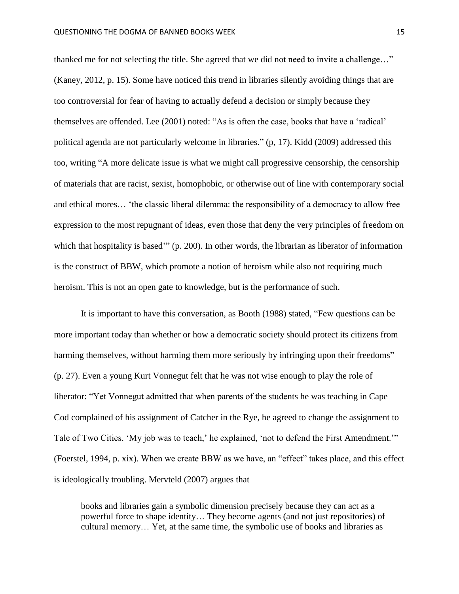thanked me for not selecting the title. She agreed that we did not need to invite a challenge…" (Kaney, 2012, p. 15). Some have noticed this trend in libraries silently avoiding things that are too controversial for fear of having to actually defend a decision or simply because they themselves are offended. Lee (2001) noted: "As is often the case, books that have a 'radical' political agenda are not particularly welcome in libraries." (p, 17). Kidd (2009) addressed this too, writing "A more delicate issue is what we might call progressive censorship, the censorship of materials that are racist, sexist, homophobic, or otherwise out of line with contemporary social and ethical mores… 'the classic liberal dilemma: the responsibility of a democracy to allow free expression to the most repugnant of ideas, even those that deny the very principles of freedom on which that hospitality is based" (p. 200). In other words, the librarian as liberator of information is the construct of BBW, which promote a notion of heroism while also not requiring much heroism. This is not an open gate to knowledge, but is the performance of such.

It is important to have this conversation, as Booth (1988) stated, "Few questions can be more important today than whether or how a democratic society should protect its citizens from harming themselves, without harming them more seriously by infringing upon their freedoms" (p. 27). Even a young Kurt Vonnegut felt that he was not wise enough to play the role of liberator: "Yet Vonnegut admitted that when parents of the students he was teaching in Cape Cod complained of his assignment of Catcher in the Rye, he agreed to change the assignment to Tale of Two Cities. 'My job was to teach,' he explained, 'not to defend the First Amendment.'" (Foerstel, 1994, p. xix). When we create BBW as we have, an "effect" takes place, and this effect is ideologically troubling. Mervteld (2007) argues that

books and libraries gain a symbolic dimension precisely because they can act as a powerful force to shape identity… They become agents (and not just repositories) of cultural memory… Yet, at the same time, the symbolic use of books and libraries as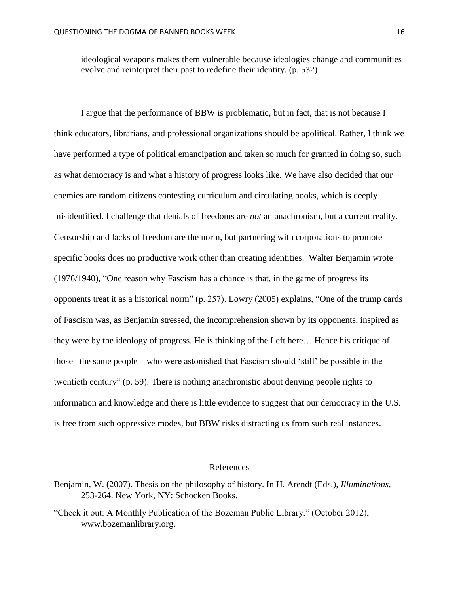ideological weapons makes them vulnerable because ideologies change and communities evolve and reinterpret their past to redefine their identity. (p. 532)

I argue that the performance of BBW is problematic, but in fact, that is not because I think educators, librarians, and professional organizations should be apolitical. Rather, I think we have performed a type of political emancipation and taken so much for granted in doing so, such as what democracy is and what a history of progress looks like. We have also decided that our enemies are random citizens contesting curriculum and circulating books, which is deeply misidentified. I challenge that denials of freedoms are *not* an anachronism, but a current reality. Censorship and lacks of freedom are the norm, but partnering with corporations to promote specific books does no productive work other than creating identities. Walter Benjamin wrote (1976/1940), "One reason why Fascism has a chance is that, in the game of progress its opponents treat it as a historical norm" (p. 257). Lowry (2005) explains, "One of the trump cards of Fascism was, as Benjamin stressed, the incomprehension shown by its opponents, inspired as they were by the ideology of progress. He is thinking of the Left here… Hence his critique of those –the same people—who were astonished that Fascism should 'still' be possible in the twentieth century" (p. 59). There is nothing anachronistic about denying people rights to information and knowledge and there is little evidence to suggest that our democracy in the U.S. is free from such oppressive modes, but BBW risks distracting us from such real instances.

#### References

- Benjamin, W. (2007). Thesis on the philosophy of history. In H. Arendt (Eds.), *Illuminations,* 253-264. New York, NY: Schocken Books.
- "Check it out: A Monthly Publication of the Bozeman Public Library." (October 2012), www.bozemanlibrary.org.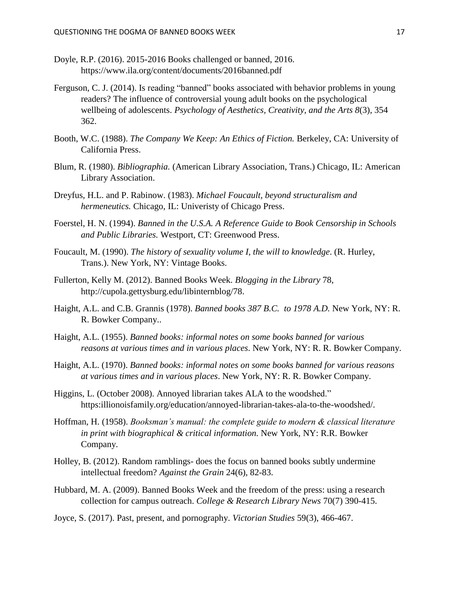- Doyle, R.P. (2016). 2015-2016 Books challenged or banned, 2016. https://www.ila.org/content/documents/2016banned.pdf
- Ferguson, C. J. (2014). Is reading "banned" books associated with behavior problems in young readers? The influence of controversial young adult books on the psychological wellbeing of adolescents. *Psychology of Aesthetics, Creativity, and the Arts 8*(3), 354 362.
- Booth, W.C. (1988). *The Company We Keep: An Ethics of Fiction.* Berkeley, CA: University of California Press.
- Blum, R. (1980). *Bibliographia.* (American Library Association, Trans.) Chicago, IL: American Library Association.
- Dreyfus, H.L. and P. Rabinow. (1983). *Michael Foucault, beyond structuralism and hermeneutics.* Chicago, IL: Univeristy of Chicago Press.
- Foerstel, H. N. (1994). *Banned in the U.S.A. A Reference Guide to Book Censorship in Schools and Public Libraries.* Westport, CT: Greenwood Press.
- Foucault, M. (1990). *The history of sexuality volume I, the will to knowledge*. (R. Hurley, Trans.). New York, NY: Vintage Books.
- Fullerton, Kelly M. (2012). Banned Books Week. *Blogging in the Library* 78, http://cupola.gettysburg.edu/libinternblog/78.
- Haight, A.L. and C.B. Grannis (1978). *Banned books 387 B.C. to 1978 A.D.* New York, NY: R. R. Bowker Company..
- Haight, A.L. (1955). *Banned books: informal notes on some books banned for various reasons at various times and in various places*. New York, NY: R. R. Bowker Company.
- Haight, A.L. (1970). *Banned books: informal notes on some books banned for various reasons at various times and in various places*. New York, NY: R. R. Bowker Company.
- Higgins, L. (October 2008). Annoyed librarian takes ALA to the woodshed." https:illionoisfamily.org/education/annoyed-librarian-takes-ala-to-the-woodshed/.
- Hoffman, H. (1958). *Booksman's manual: the complete guide to modern & classical literature in print with biographical & critical information.* New York, NY: R.R. Bowker Company.
- Holley, B. (2012). Random ramblings- does the focus on banned books subtly undermine intellectual freedom? *Against the Grain* 24(6), 82-83.
- Hubbard, M. A. (2009). Banned Books Week and the freedom of the press: using a research collection for campus outreach. *College & Research Library News* 70(7) 390-415.
- Joyce, S. (2017). Past, present, and pornography. *Victorian Studies* 59(3), 466-467.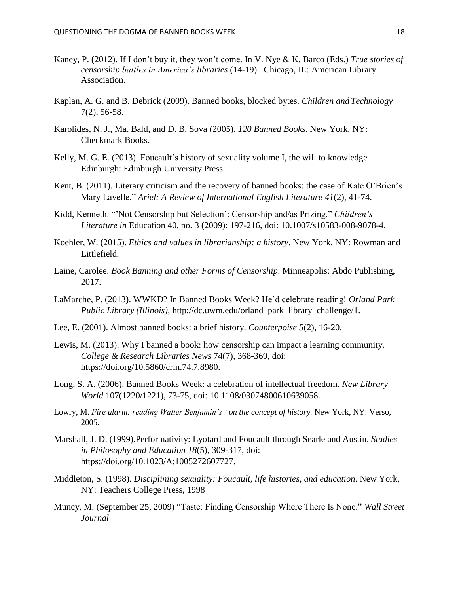- Kaney, P. (2012). If I don't buy it, they won't come. In V. Nye & K. Barco (Eds.) *True stories of censorship battles in America's libraries* (14-19). Chicago, IL: American Library Association.
- Kaplan, A. G. and B. Debrick (2009). Banned books, blocked bytes. *Children and Technology* 7(2), 56-58.
- Karolides, N. J., Ma. Bald, and D. B. Sova (2005). *120 Banned Books*. New York, NY: Checkmark Books.
- Kelly, M. G. E. (2013). Foucault's history of sexuality volume I, the will to knowledge Edinburgh: Edinburgh University Press.
- Kent, B. (2011). Literary criticism and the recovery of banned books: the case of Kate O'Brien's Mary Lavelle." *Ariel: A Review of International English Literature 41*(2), 41-74.
- Kidd, Kenneth. "'Not Censorship but Selection': Censorship and/as Prizing." *Children's Literature in* Education 40, no. 3 (2009): 197-216, doi: 10.1007/s10583-008-9078-4.
- Koehler, W. (2015). *Ethics and values in librarianship: a history*. New York, NY: Rowman and Littlefield.
- Laine, Carolee. *Book Banning and other Forms of Censorship*. Minneapolis: Abdo Publishing, 2017.
- LaMarche, P. (2013). WWKD? In Banned Books Week? He'd celebrate reading! *Orland Park Public Library (Illinois),* http://dc.uwm.edu/orland\_park\_library\_challenge/1.
- Lee, E. (2001). Almost banned books: a brief history. *Counterpoise 5*(2), 16-20.
- Lewis, M. (2013). Why I banned a book: how censorship can impact a learning community. *College & Research Libraries News* 74(7), 368-369, doi: https://doi.org/10.5860/crln.74.7.8980.
- Long, S. A. (2006). Banned Books Week: a celebration of intellectual freedom. *New Library World* 107(1220/1221), 73-75, doi: 10.1108/03074800610639058.
- Lowry, M. *Fire alarm: reading Walter Benjamin's "on the concept of history.* New York, NY: Verso, 2005.
- Marshall, J. D. (1999).Performativity: Lyotard and Foucault through Searle and Austin. *Studies in Philosophy and Education 18*(5), 309-317, doi: https://doi.org/10.1023/A:1005272607727.
- Middleton, S. (1998). *Disciplining sexuality: Foucault, life histories, and education*. New York, NY: Teachers College Press, 1998
- Muncy, M. (September 25, 2009) "Taste: Finding Censorship Where There Is None." *Wall Street Journal*